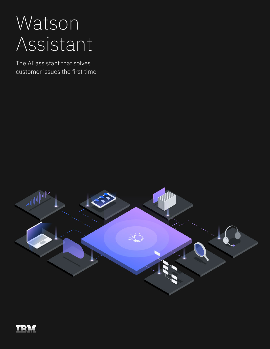# Watson Assistant

The AI assistant that solves customer issues the first time

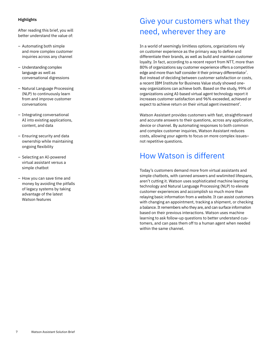### **Highlights**

After reading this brief, you will better understand the value of:

- Automating both simple and more complex customer inquiries across any channel
- Understanding complex language as well as conversational digressions
- Natural Language Processing (NLP) to continuously learn from and improve customer conversations
- Integrating conversational AI into existing applications, content, and data
- Ensuring security and data ownership while maintaining ongoing flexibility
- Selecting an AI-powered virtual assistant versus a simple chatbot
- How you can save time and money by avoiding the pitfalls of legacy systems by taking advantage of the latest Watson features

# Give your customers what they need, wherever they are

In a world of seemingly limitless options, organizations rely on customer experience as the primary way to define and differentiate their brands, as well as build and maintain customer loyalty. In fact, according to a recent report from NTT, more than 80% of organizations say customer experience offers a competitive edge and more than half consider it their primary differentiator $^1$ . But instead of deciding between customer satisfaction or costs, a recent IBM Institute for Business Value study showed oneway organizations can achieve both. Based on the study, 99% of organizations using AI-based virtual agent technology report it increases customer satisfaction and 96% exceeded, achieved or expect to achieve return on their virtual agent investment<sup>2</sup>.

Watson Assistant provides customers with fast, straightforward and accurate answers to their questions, across any application, device or channel. By automating responses to both common and complex customer inquiries, Watson Assistant reduces costs, allowing your agents to focus on more complex issues– not repetitive questions.

### How Watson is different

Today's customers demand more from virtual assistants and simple chatbots, with canned answers and wwlimited lifespans, aren't cutting it. Watson uses sophisticated machine learning technology and Natural Language Processing (NLP) to elevate customer experiences and accomplish so much more than relaying basic information from a website. It can assist customers with changing an appointment, tracking a shipment, or checking a balance. It remembers who they are, and can surface information based on their previous interactions. Watson uses machine learning to ask follow-up questions to better understand customers, and can pass them off to a human agent when needed within the same channel.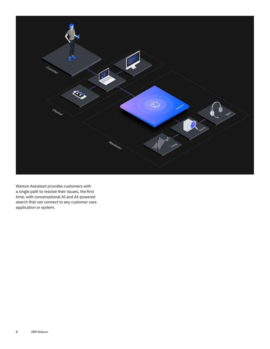

Watson Assistant provides customers with a single path to resolve their issues, the first time, with conversational AI and AI-powered search that can connect to any customer care application or system.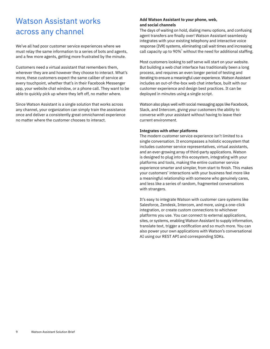### Watson Assistant works across any channel

We've all had poor customer service experiences where we must relay the same information to a series of bots and agents, and a few more agents, getting more frustrated by the minute.

Customers need a virtual assistant that remembers them, wherever they are and however they choose to interact. What's more, these customers expect the same caliber of service at every touchpoint, whether that's in their Facebook Messenger app, your website chat window, or a phone call. They want to be able to quickly pick up where they left off, no matter where.

Since Watson Assistant is a single solution that works across any channel, your organization can simply train the assistance once and deliver a consistently great omnichannel experience no matter where the customer chooses to interact.

### **Add Watson Assistant to your phone, web, and social channels**

The days of waiting on hold, dialing menu options, and confusing agent transfers are finally over! Watson Assistant seamlessly integrates with your existing telephony and interactive voice response (IVR) systems, eliminating call wait times and increasing call capacity up to 90% $^3$  without the need for additional staffing.

Most customers looking to self serve will start on your website. But building a web chat interface has traditionally been a long process, and requires an even longer period of testing and iterating to ensure a meaningful user experience. Watson Assistant includes an out-of-the-box web chat interface, built with our customer experience and design best practices. It can be deployed in minutes using a single script.

Watson also plays well with social messaging apps like Facebook, Slack, and Intercom, giving your customers the ability to converse with your assistant without having to leave their current environment.

### **Integrates with other platforms**

The modern customer service experience isn't limited to a single conversation. It encompasses a holistic ecosystem that includes customer service representatives, virtual assistants, and an ever-growing array of third-party applications. Watson is designed to plug into this ecosystem, integrating with your platforms and tools, making the entire customer service experience smarter and simpler, from start to finish. This makes your customers' interactions with your business feel more like a meaningful relationship with someone who genuinely cares, and less like a series of random, fragmented conversations with strangers.

It's easy to integrate Watson with customer care systems like Salesforce, Zendesk, Intercom, and more, using a one-click integration, or create custom connections to whichever platforms you use. You can connect to external applications, sites, or systems, enabling Watson Assistant to supply information, translate text, trigger a notification and so much more. You can also power your own applications with Watson's conversational AI using our REST API and corresponding SDKs.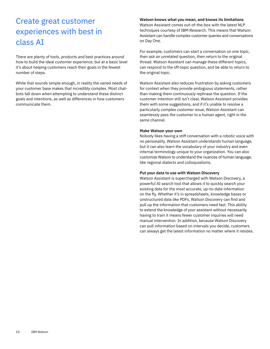# Create great customer experiences with best in class AI

There are plenty of tools, products and best practices around how to build the ideal customer experience, but at a basic level it's about helping customers reach their goals in the fewest number of steps.

While that sounds simple enough, in reality the varied needs of your customer base makes that incredibly complex. Most chatbots fall down when attempting to understand these distinct goals and intentions, as well as differences in how customers communicate them.

#### **Watson knows what you mean, and knows its limitations**

Watson Assistant comes out-of-the-box with the latest NLP techniques courtesy of IBM Research. This means that Watson Assistant can handle complex customer queries and conversations on Day One.

For example, customers can start a conversation on one topic, then ask an unrelated question, then return to the original thread. Watson Assistant can manage these different topics, can respond to the off-topic question, and be able to return to the original topic.

Watson Assistant also reduces frustration by asking customers for context when they provide ambiguous statements, rather than making them continuously rephrase the question. If the customer intention still isn't clear, Watson Assistant provides them with some suggestions, and if it's unable to resolve a particularly complex customer issue, Watson Assistant can seamlessly pass the customer to a human agent, right in the same channel.

#### **Make Watson your own**

Nobody likes having a stiff conversation with a robotic voice with no personality. Watson Assistant understands human language, but it can also learn the vocabulary of your industry and even internal terminology unique to your organization. You can also customize Watson to understand the nuances of human language, like regional dialects and colloquialisms.

#### **Put your data to use with Watson Discovery**

Watson Assistant is supercharged with Watson Discovery, a powerful AI search tool that allows it to quickly search your existing data for the most accurate, up-to-date information on the fly. Whether it's in spreadsheets, knowledge bases or unstructured data like PDFs, Watson Discovery can find and pull up the information that customers need fast. This ability to extend the knowledge of your assistant without necessarily having to train it means fewer customer inquiries will need manual intervention. In addition, because Watson Discovery can pull information based on intervals you decide, customers can always get the latest information no matter where it resides.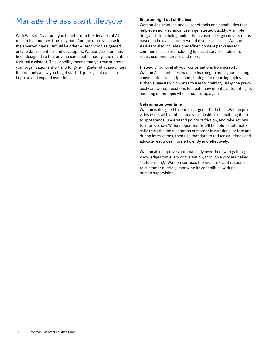### Manage the assistant lifecycle

With Watson Assistant, you benefit from the decades of AI research at our labs from day one. And the more you use it, the smarter it gets. But unlike other AI technologies geared only to data scientists and developers, Watson Assistant has been designed so that anyone can create, modify, and maintain a virtual assistant. This usability means that you can support your organization's short and long-term goals with capabilities that not only allow you to get started quickly, but can also improve and expand over time.

### **Smarter, right out of the box**

Watson Assistant includes a set of tools and capabilities that help even non-technical users get started quickly. A simple drag-and-drop dialog builder helps users design conversations based on how a customer would discuss an issue. Watson Assistant also includes predefined content packages for common use cases, including financial services, telecom, retail, customer service and more.

Instead of building all your conversations from scratch, Watson Assistant uses machine learning to mine your existing conversation transcripts and chatlogs for recurring topics. It then suggests which ones to use for training, using the previously answered questions to create new intents, automating its handling of the topic when it comes up again.

### **Gets smarter over time**

Watson is designed to learn as it goes. To do this, Watson provides users with a robust analytics dashboard, enabling them to spot trends, understand points of friction, and take actions to improve how Watson operates. You'll be able to automatically track the most common customer frustrations, before and during interactions, then use that data to reduce call times and allocate resources more efficiently and effectively.

Watson also improves automatically over time, with gaining knowledge from every conversation, through a process called "autolearning." Watson surfaces the most relevant responses to customer queries, improving its capabilities with no human supervision.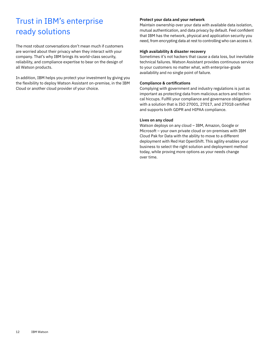# Trust in IBM's enterprise ready solutions

The most robust conversations don't mean much if customers are worried about their privacy when they interact with your company. That's why IBM brings its world-class security, reliability, and compliance expertise to bear on the design of all Watson products.

In addition, IBM helps you protect your investment by giving you the flexibility to deploy Watson Assistant on-premise, in the IBM Cloud or another cloud provider of your choice.

### **Protect your data and your network**

Maintain ownership over your data with available data isolation, mutual authentication, and data privacy by default. Feel confident that IBM has the network, physical and application security you need, from encrypting data at rest to controlling who can access it.

### **High availability & disaster recovery**

Sometimes it's not hackers that cause a data loss, but inevitable technical failures. Watson Assistant provides continuous service to your customers no matter what, with enterprise-grade availability and no single point of failure.

#### **Compliance & certifications**

Complying with government and industry regulations is just as important as protecting data from malicious actors and technical hiccups. Fulfill your compliance and governance obligations with a solution that is ISO 27001, 27017, and 27018 certified and supports both GDPR and HIPAA compliance.

### **Lives on any cloud**

Watson deploys on any cloud – IBM, Amazon, Google or Microsoft – your own private cloud or on-premises with IBM Cloud Pak for Data with the ability to move to a different deployment with Red Hat OpenShift. This agility enables your business to select the right solution and deployment method today, while proving more options as your needs change over time.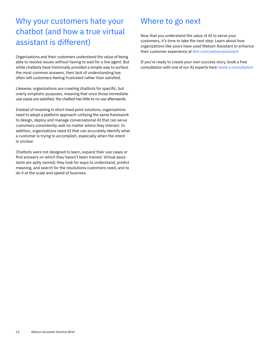# Why your customers hate your chatbot (and how a true virtual assistant is different)

Organizations and their customers understand the value of being able to resolve issues without having to wait for a live agent. But while chatbots have historically provided a simple way to surface the most common answers, their lack of understanding has often left customers feeling frustrated rather than satisfied.

Likewise, organizations are creating chatbots for specific, but overly simplistic purposes, meaning that once those immediate use cases are satisfied, the chatbot has little to no use afterwards.

Instead of investing in short-lived point solutions, organizations need to adopt a platform approach–utilizing the same framework to design, deploy and manage conversational AI that can serve customers consistently well no matter where they interact. In addition, organizations need AI that can accurately identify what a customer is trying to accomplish, especially when the intent is unclear.

Chatbots were not designed to learn, expand their use cases or find answers on which they haven't been trained. Virtual assistants are aptly named; they look for ways to understand, predict meaning, and search for the resolutions customers need, and to do it at the scale and speed of business.

### Where to go next

Now that you understand the value of AI to serve your customers, it's time to take the next step. Learn about how organizations like yours have used Watson Assistant to enhance their customer experience at [ibm.com/watsonassistant](http://www.ibm.com/watsonassistant)

If you're ready to create your own success story, book a free consultation with one of our AI experts here: b[ook a consultation](https://www.ibm.com/account/reg/subscribe?formid=MAIL-watson)